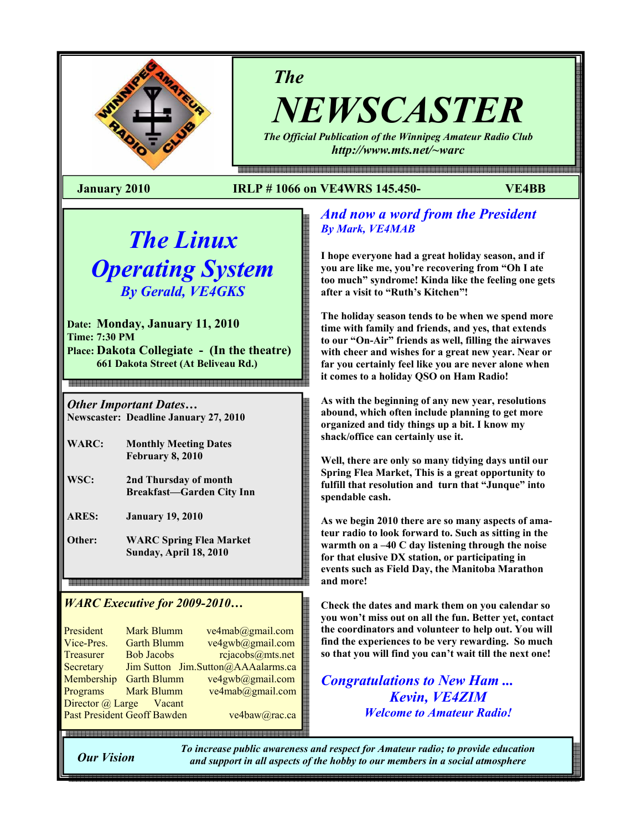

*The*

*NEWSCASTER The Official Publication of the Winnipeg Amateur Radio Club* 

*http://www.mts.net/~warc* 

### **January 2010 IRLP # 1066 on VE4WRS 145.450- VE4BB**

# *The Linux Operating System By Gerald, VE4GKS*

**Date: Monday, January 11, 2010 Time: 7:30 PM Place: Dakota Collegiate - (In the theatre) 661 Dakota Street (At Beliveau Rd.)**

*Other Important Dates…* 

**Newscaster: Deadline January 27, 2010** 

- **WARC: Monthly Meeting Dates February 8, 2010**
- **WSC: 2nd Thursday of month Breakfast—Garden City Inn**

**ARES: January 19, 2010** 

**Other: WARC Spring Flea Market Sunday, April 18, 2010** 

# *WARC Executive for 2009-2010…*

| President                          | <b>Mark Blumm</b>  | ve4mab@gmail.com                   |  |  |
|------------------------------------|--------------------|------------------------------------|--|--|
| Vice-Pres.                         | <b>Garth Blumm</b> | ve4gwb@gmail.com                   |  |  |
| <b>Treasurer</b>                   | <b>Bob Jacobs</b>  | rejaecobs@mts.net                  |  |  |
| Secretary                          |                    | Jim Sutton Jim.Sutton@AAAalarms.ca |  |  |
| Membership                         | <b>Garth Blumm</b> | ve4gwb@gmail.com                   |  |  |
| Programs                           | <b>Mark Blumm</b>  | ve4mab@gmail.com                   |  |  |
| Director @ Large Vacant            |                    |                                    |  |  |
| <b>Past President Geoff Bawden</b> |                    | ve4baw@rac.ca                      |  |  |
|                                    |                    |                                    |  |  |

# *And now a word from the President By Mark, VE4MAB*

**I hope everyone had a great holiday season, and if you are like me, you're recovering from "Oh I ate too much" syndrome! Kinda like the feeling one gets after a visit to "Ruth's Kitchen"!** 

**The holiday season tends to be when we spend more time with family and friends, and yes, that extends to our "On-Air" friends as well, filling the airwaves with cheer and wishes for a great new year. Near or far you certainly feel like you are never alone when it comes to a holiday QSO on Ham Radio!** 

**As with the beginning of any new year, resolutions abound, which often include planning to get more organized and tidy things up a bit. I know my shack/office can certainly use it.** 

**Well, there are only so many tidying days until our Spring Flea Market, This is a great opportunity to fulfill that resolution and turn that "Junque" into spendable cash.** 

**As we begin 2010 there are so many aspects of amateur radio to look forward to. Such as sitting in the warmth on a –40 C day listening through the noise for that elusive DX station, or participating in events such as Field Day, the Manitoba Marathon and more!** 

**Check the dates and mark them on you calendar so you won't miss out on all the fun. Better yet, contact the coordinators and volunteer to help out. You will find the experiences to be very rewarding. So much so that you will find you can't wait till the next one!** 

*Congratulations to New Ham ... Kevin, VE4ZIM Welcome to Amateur Radio!* 

**Our Vision** 

■国際国語国際国語国際国語

*To increase public awareness and respect for Amateur radio; to provide education and support in all aspects of the hobby to our members in a social atmosphere*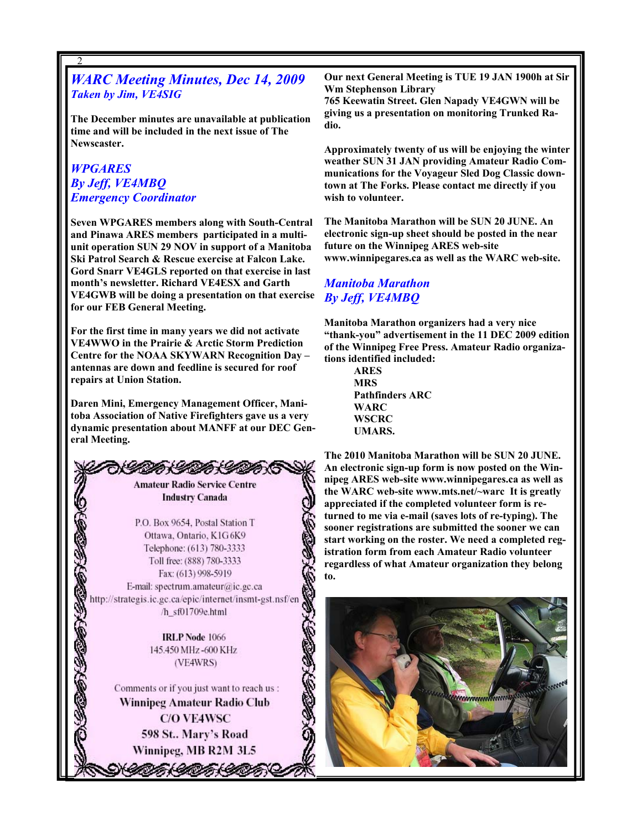## *WARC Meeting Minutes, Dec 14, 2009 Taken by Jim, VE4SIG*

**The December minutes are unavailable at publication time and will be included in the next issue of The Newscaster.** 

### *WPGARES By Jeff, VE4MBQ Emergency Coordinator*

2

**Seven WPGARES members along with South-Central and Pinawa ARES members participated in a multiunit operation SUN 29 NOV in support of a Manitoba Ski Patrol Search & Rescue exercise at Falcon Lake. Gord Snarr VE4GLS reported on that exercise in last month's newsletter. Richard VE4ESX and Garth VE4GWB will be doing a presentation on that exercise for our FEB General Meeting.** 

**For the first time in many years we did not activate VE4WWO in the Prairie & Arctic Storm Prediction Centre for the NOAA SKYWARN Recognition Day – antennas are down and feedline is secured for roof repairs at Union Station.** 

**Daren Mini, Emergency Management Officer, Manitoba Association of Native Firefighters gave us a very dynamic presentation about MANFF at our DEC General Meeting.** 

> DA DA DA **Amateur Radio Service Centre Industry Canada**

P.O. Box 9654, Postal Station T Ottawa, Ontario, K1G6K9 Telephone: (613) 780-3333 Toll free: (888) 780-3333 Fax: (613) 998-5919 E-mail: spectrum.amateur@ic.gc.ca http://strategis.ic.gc.ca/epic/internet/insmt-gst.nsf/en /h\_sf01709e.html

> **IRLP Node 1066** 145.450 MHz-600 KHz (VE4WRS)

Comments or if you just want to reach us : Winnipeg Amateur Radio Club **C/O VE4WSC** 598 St.. Mary's Road Winnipeg, MB R2M 3L5

うくのおくのおくりつお

2

**Our next General Meeting is TUE 19 JAN 1900h at Sir Wm Stephenson Library** 

**765 Keewatin Street. Glen Napady VE4GWN will be giving us a presentation on monitoring Trunked Radio.** 

**Approximately twenty of us will be enjoying the winter weather SUN 31 JAN providing Amateur Radio Communications for the Voyageur Sled Dog Classic downtown at The Forks. Please contact me directly if you wish to volunteer.** 

**The Manitoba Marathon will be SUN 20 JUNE. An electronic sign-up sheet should be posted in the near future on the Winnipeg ARES web-site www.winnipegares.ca as well as the WARC web-site.** 

### *Manitoba Marathon By Jeff, VE4MBQ*

**Manitoba Marathon organizers had a very nice "thank-you" advertisement in the 11 DEC 2009 edition of the Winnipeg Free Press. Amateur Radio organizations identified included:** 

> **ARES MRS Pathfinders ARC WARC WSCRC UMARS.**

**The 2010 Manitoba Marathon will be SUN 20 JUNE. An electronic sign-up form is now posted on the Winnipeg ARES web-site www.winnipegares.ca as well as the WARC web-site www.mts.net/~warc It is greatly appreciated if the completed volunteer form is returned to me via e-mail (saves lots of re-typing). The sooner registrations are submitted the sooner we can start working on the roster. We need a completed registration form from each Amateur Radio volunteer regardless of what Amateur organization they belong to.** 

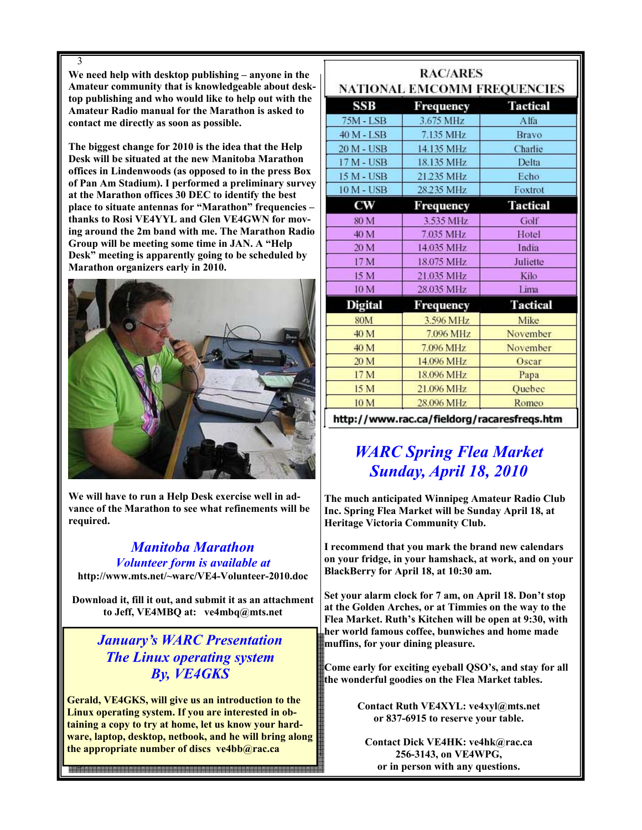3 **We need help with desktop publishing – anyone in the Amateur community that is knowledgeable about desktop publishing and who would like to help out with the Amateur Radio manual for the Marathon is asked to contact me directly as soon as possible.** 

**The biggest change for 2010 is the idea that the Help Desk will be situated at the new Manitoba Marathon offices in Lindenwoods (as opposed to in the press Box of Pan Am Stadium). I performed a preliminary survey at the Marathon offices 30 DEC to identify the best place to situate antennas for "Marathon" frequencies – thanks to Rosi VE4YYL and Glen VE4GWN for moving around the 2m band with me. The Marathon Radio Group will be meeting some time in JAN. A "Help Desk" meeting is apparently going to be scheduled by Marathon organizers early in 2010.** 



**We will have to run a Help Desk exercise well in advance of the Marathon to see what refinements will be required.** 

# *Manitoba Marathon Volunteer form is available at*

**http://www.mts.net/~warc/VE4-Volunteer-2010.doc** 

**Download it, fill it out, and submit it as an attachment to Jeff, VE4MBQ at: ve4mbq@mts.net** 

# *January's WARC Presentation The Linux operating system By, VE4GKS*

**Gerald, VE4GKS, will give us an introduction to the Linux operating system. If you are interested in obtaining a copy to try at home, let us know your hardware, laptop, desktop, netbook, and he will bring along the appropriate number of discs ve4bb@rac.ca** 

3

| <b>RAC/ARES</b><br>NATIONAL EMCOMM FREQUENCIES |                                    |                           |  |
|------------------------------------------------|------------------------------------|---------------------------|--|
| SSB                                            | Frequency                          | <b>Tactical</b>           |  |
| 75M - LSB                                      | 3.675 MHz                          | Alfa                      |  |
| 40 M - LSB                                     | 7.135 MHz                          | Bravo                     |  |
| 20 M - USB                                     | 14.135 MHz                         | Charlie                   |  |
| 17 M - USB                                     | 18.135 MHz                         | Delta                     |  |
| 15 M - USB                                     | 21.235 MHz                         | Echo                      |  |
| <b>10 M - USB</b>                              | 28.235 MHz                         | Foxtrot                   |  |
| CW                                             | Frequency                          | <b>Tactical</b>           |  |
| 80 M                                           | 3.535 MHz                          | Golf                      |  |
| 40 M                                           | 7.035 MHz                          | Hotel                     |  |
| 20 M                                           | 14.035 MHz                         | India                     |  |
| 17 M                                           | 18.075 MHz                         | Juliette                  |  |
| 15 M                                           | 21.035 MHz                         | Kilo                      |  |
| 10 M                                           | 28.035 MHz                         | Lima                      |  |
| <b>Digital</b>                                 | Frequency                          | <b>Tactical</b>           |  |
| <b>80M</b>                                     | 3.596 MHz                          | Mike                      |  |
| 40 M                                           | 7.096 MHz                          | November                  |  |
| 40 M                                           | 7.096 MHz                          | November                  |  |
| 20 M                                           | 14.096 MHz                         | Oscar                     |  |
| 17 M                                           | 18.096 MHz                         | Papa                      |  |
| 15 M                                           | 21.096 MHz                         | Quebec                    |  |
| 10 <sub>M</sub>                                | 28.096 MHz                         | Romeo                     |  |
| $-11-$                                         | $\sim$ $\sim$ $\sim$ $\sim$ $\sim$ | Contractor and Contractor |  |

http://www.rac.ca/fieldorg/racaresfreqs.htm

# *WARC Spring Flea Market Sunday, April 18, 2010*

**The much anticipated Winnipeg Amateur Radio Club Inc. Spring Flea Market will be Sunday April 18, at Heritage Victoria Community Club.** 

**I recommend that you mark the brand new calendars on your fridge, in your hamshack, at work, and on your BlackBerry for April 18, at 10:30 am.** 

**Set your alarm clock for 7 am, on April 18. Don't stop at the Golden Arches, or at Timmies on the way to the Flea Market. Ruth's Kitchen will be open at 9:30, with her world famous coffee, bunwiches and home made muffins, for your dining pleasure.** 

**Come early for exciting eyeball QSO's, and stay for all the wonderful goodies on the Flea Market tables.** 

> **Contact Ruth VE4XYL: ve4xyl@mts.net or 837-6915 to reserve your table.**

**Contact Dick VE4HK: ve4hk@rac.ca 256-3143, on VE4WPG, or in person with any questions.**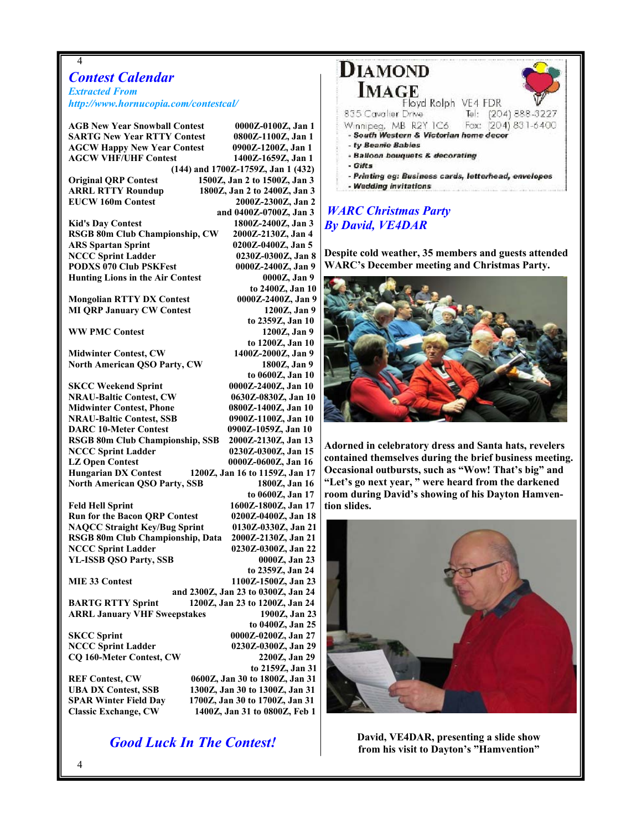# *Contest Calendar*

4

*Extracted From http://www.hornucopia.com/contestcal/*

| <b>AGB New Year Snowball Contest</b>    | 0000Z-0100Z, Jan 1                 |
|-----------------------------------------|------------------------------------|
| <b>SARTG New Year RTTY Contest</b>      | 0800Z-1100Z, Jan 1                 |
| <b>AGCW Happy New Year Contest</b>      | 0900Z-1200Z, Jan 1                 |
| <b>AGCW VHF/UHF Contest</b>             | 1400Z-1659Z, Jan 1                 |
|                                         | (144) and 1700Z-1759Z, Jan 1 (432) |
| <b>Original QRP Contest</b>             | 1500Z, Jan 2 to 1500Z, Jan 3       |
| <b>ARRL RTTY Roundup</b>                | 1800Z, Jan 2 to 2400Z, Jan 3       |
| <b>EUCW 160m Contest</b>                | 2000Z-2300Z, Jan 2                 |
|                                         | and 0400Z-0700Z, Jan 3             |
| <b>Kid's Day Contest</b>                | 1800Z-2400Z, Jan 3                 |
| RSGB 80m Club Championship, CW          | 2000Z-2130Z, Jan 4                 |
| <b>ARS Spartan Sprint</b>               | 0200Z-0400Z, Jan 5                 |
| <b>NCCC Sprint Ladder</b>               | 0230Z-0300Z, Jan 8                 |
| <b>PODXS 070 Club PSKFest</b>           | 0000Z-2400Z, Jan 9                 |
| <b>Hunting Lions in the Air Contest</b> | 0000Z, Jan 9                       |
|                                         | to 2400Z, Jan 10                   |
| <b>Mongolian RTTY DX Contest</b>        | 0000Z-2400Z, Jan 9                 |
| <b>MI QRP January CW Contest</b>        | 1200Z, Jan 9                       |
|                                         | to 2359Z, Jan 10                   |
| <b>WW PMC Contest</b>                   | 1200Z, Jan 9                       |
|                                         | to 1200Z, Jan 10                   |
| <b>Midwinter Contest, CW</b>            | 1400Z-2000Z, Jan 9                 |
| <b>North American QSO Party, CW</b>     | 1800Z, Jan 9                       |
|                                         | to 0600Z, Jan 10                   |
| <b>SKCC Weekend Sprint</b>              | 0000Z-2400Z, Jan 10                |
| <b>NRAU-Baltic Contest, CW</b>          | 0630Z-0830Z, Jan 10                |
| <b>Midwinter Contest, Phone</b>         | 0800Z-1400Z, Jan 10                |
| <b>NRAU-Baltic Contest, SSB</b>         |                                    |
|                                         | 0900Z-1100Z, Jan 10                |
| <b>DARC 10-Meter Contest</b>            | 0900Z-1059Z, Jan 10                |
| RSGB 80m Club Championship, SSB         | 2000Z-2130Z, Jan 13                |
| <b>NCCC Sprint Ladder</b>               | 0230Z-0300Z, Jan 15                |
| <b>LZ Open Contest</b>                  | 0000Z-0600Z, Jan 16                |
| <b>Hungarian DX Contest</b>             | 1200Z, Jan 16 to 1159Z, Jan 17     |
| <b>North American QSO Party, SSB</b>    | 1800Z, Jan 16                      |
|                                         | to 0600Z, Jan 17                   |
| <b>Feld Hell Sprint</b>                 | 1600Z-1800Z, Jan 17                |
| <b>Run for the Bacon QRP Contest</b>    | 0200Z-0400Z, Jan 18                |
| <b>NAQCC Straight Key/Bug Sprint</b>    | 0130Z-0330Z, Jan 21                |
| RSGB 80m Club Championship, Data        | 2000Z-2130Z, Jan 21                |
| <b>NCCC Sprint Ladder</b>               | 0230Z-0300Z, Jan 22                |
| <b>YL-ISSB QSO Party, SSB</b>           | 0000Z, Jan 23                      |
|                                         | to 2359Z, Jan 24                   |
| MIE 33 Contest                          | 1100Z-1500Z, Jan 23                |
|                                         | and 2300Z, Jan 23 to 0300Z, Jan 24 |
| <b>BARTG RTTY Sprint</b>                | 1200Z, Jan 23 to 1200Z, Jan 24     |
| <b>ARRL January VHF Sweepstakes</b>     | 1900Z, Jan 23                      |
|                                         | to 0400Z, Jan 25                   |
| <b>SKCC Sprint</b>                      | 0000Z-0200Z, Jan 27                |
| <b>NCCC Sprint Ladder</b>               | 0230Z-0300Z, Jan 29                |
| <b>CQ 160-Meter Contest, CW</b>         | 2200Z, Jan 29                      |
|                                         | to 2159Z, Jan 31                   |
| <b>REF Contest, CW</b>                  | 0600Z, Jan 30 to 1800Z, Jan 31     |
| <b>UBA DX Contest, SSB</b>              | 1300Z, Jan 30 to 1300Z, Jan 31     |
| <b>SPAR Winter Field Day</b>            | 1700Z, Jan 30 to 1700Z, Jan 31     |
| <b>Classic Exchange, CW</b>             | 1400Z, Jan 31 to 0800Z, Feb 1      |

*Good Luck In The Contest!* 



### *WARC Christmas Party By David, VE4DAR*

**Despite cold weather, 35 members and guests attended WARC's December meeting and Christmas Party.** 



**Adorned in celebratory dress and Santa hats, revelers contained themselves during the brief business meeting. Occasional outbursts, such as "Wow! That's big" and "Let's go next year, " were heard from the darkened room during David's showing of his Dayton Hamvention slides.** 



**David, VE4DAR, presenting a slide show from his visit to Dayton's "Hamvention"**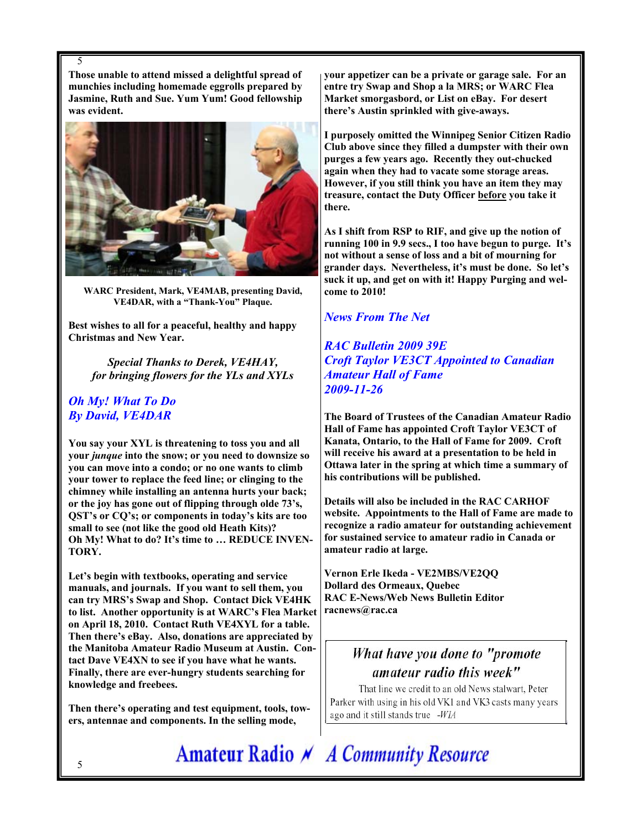**Those unable to attend missed a delightful spread of munchies including homemade eggrolls prepared by Jasmine, Ruth and Sue. Yum Yum! Good fellowship was evident.** 



**WARC President, Mark, VE4MAB, presenting David, VE4DAR, with a "Thank-You" Plaque.** 

**Best wishes to all for a peaceful, healthy and happy Christmas and New Year.** 

*Special Thanks to Derek, VE4HAY, for bringing flowers for the YLs and XYLs* 

### *Oh My! What To Do By David, VE4DAR*

5

**You say your XYL is threatening to toss you and all your** *junque* **into the snow; or you need to downsize so you can move into a condo; or no one wants to climb your tower to replace the feed line; or clinging to the chimney while installing an antenna hurts your back; or the joy has gone out of flipping through olde 73's, QST's or CQ's; or components in today's kits are too small to see (not like the good old Heath Kits)? Oh My! What to do? It's time to … REDUCE INVEN-TORY.** 

**Let's begin with textbooks, operating and service manuals, and journals. If you want to sell them, you can try MRS's Swap and Shop. Contact Dick VE4HK to list. Another opportunity is at WARC's Flea Market on April 18, 2010. Contact Ruth VE4XYL for a table. Then there's eBay. Also, donations are appreciated by the Manitoba Amateur Radio Museum at Austin. Contact Dave VE4XN to see if you have what he wants. Finally, there are ever-hungry students searching for knowledge and freebees.** 

**Then there's operating and test equipment, tools, towers, antennae and components. In the selling mode,** 

**your appetizer can be a private or garage sale. For an entre try Swap and Shop a la MRS; or WARC Flea Market smorgasbord, or List on eBay. For desert there's Austin sprinkled with give-aways.** 

**I purposely omitted the Winnipeg Senior Citizen Radio Club above since they filled a dumpster with their own purges a few years ago. Recently they out-chucked again when they had to vacate some storage areas. However, if you still think you have an item they may treasure, contact the Duty Officer before you take it there.** 

**As I shift from RSP to RIF, and give up the notion of running 100 in 9.9 secs., I too have begun to purge. It's not without a sense of loss and a bit of mourning for grander days. Nevertheless, it's must be done. So let's suck it up, and get on with it! Happy Purging and welcome to 2010!** 

### *News From The Net*

*RAC Bulletin 2009 39E Croft Taylor VE3CT Appointed to Canadian Amateur Hall of Fame 2009-11-26* 

**The Board of Trustees of the Canadian Amateur Radio Hall of Fame has appointed Croft Taylor VE3CT of Kanata, Ontario, to the Hall of Fame for 2009. Croft will receive his award at a presentation to be held in Ottawa later in the spring at which time a summary of his contributions will be published.** 

**Details will also be included in the RAC CARHOF website. Appointments to the Hall of Fame are made to recognize a radio amateur for outstanding achievement for sustained service to amateur radio in Canada or amateur radio at large.** 

**Vernon Erle Ikeda - VE2MBS/VE2QQ Dollard des Ormeaux, Quebec RAC E-News/Web News Bulletin Editor racnews@rac.ca** 

# What have you done to "promote amateur radio this week"

That line we credit to an old News stalwart, Peter Parker with using in his old VK1 and VK3 casts many years ago and it still stands true -WIA

Amateur Radio N A Community Resource